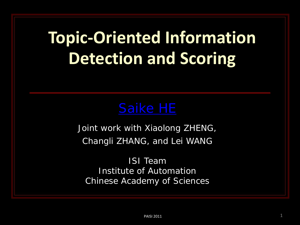### **Topic-Oriented Information Detection and Scoring**

Joint work with Xiaolong ZHENG, Changli ZHANG, and Lei WANG

ISI Team Institute of Automation Chinese Academy of Sciences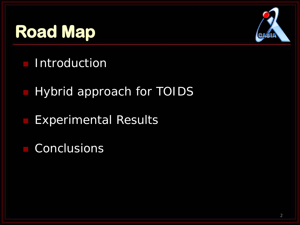# **Road Map**



- **Introduction**
- Hybrid approach for TOIDS
- Experimental Results
- Conclusions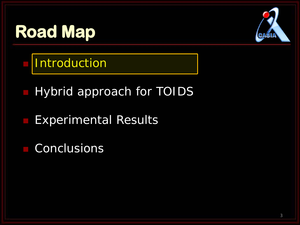# **Road Map**



**Introduction** 

Hybrid approach for TOIDS

- Experimental Results
- Conclusions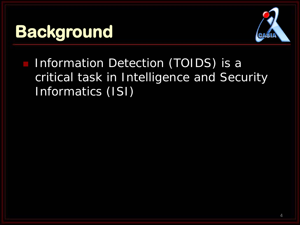

**Information Detection (TOIDS) is a** critical task in Intelligence and Security Informatics (ISI)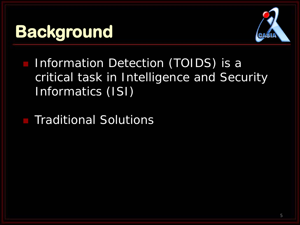

**Information Detection (TOIDS) is a** critical task in Intelligence and Security Informatics (ISI)

Traditional Solutions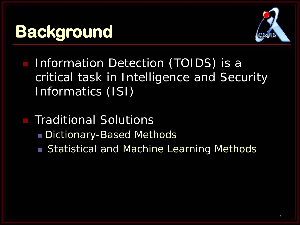

- Information Detection (TOIDS) is a critical task in Intelligence and Security Informatics (ISI)
	- Traditional Solutions Dictionary-Based Methods ■ Statistical and Machine Learning Methods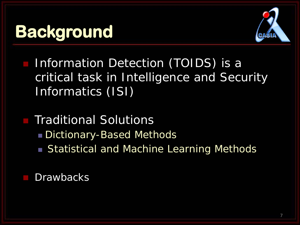

- **Information Detection (TOIDS) is a** critical task in Intelligence and Security Informatics (ISI)
- Traditional Solutions Dictionary-Based Methods ■ Statistical and Machine Learning Methods

**Drawbacks**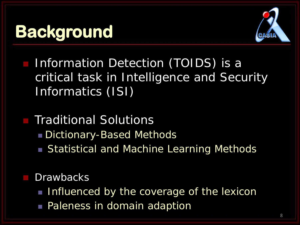

- **Information Detection (TOIDS) is a** critical task in Intelligence and Security Informatics (ISI)
- Traditional Solutions
	- Dictionary-Based Methods
	- Statistical and Machine Learning Methods

#### **Drawbacks**

- Influenced by the coverage of the lexicon
- **Paleness in domain adaption**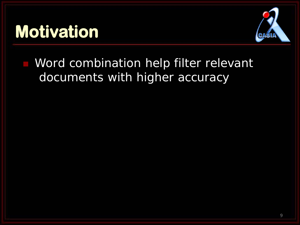

**Word combination help filter relevant** documents with higher accuracy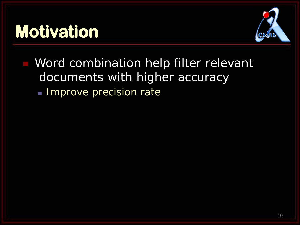

 Word combination help filter relevant documents with higher accuracy

**Improve precision rate**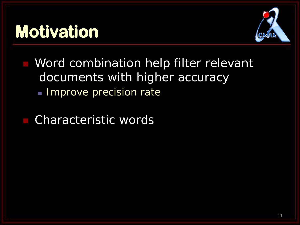

 Word combination help filter relevant documents with higher accuracy

**Improve precision rate** 

Characteristic words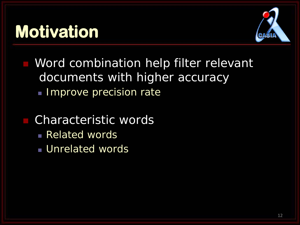

 Word combination help filter relevant documents with higher accuracy

**Improve precision rate** 

#### Characteristic words

- **Related words**
- **Unrelated words**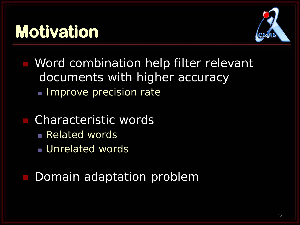

 Word combination help filter relevant documents with higher accuracy

**Improve precision rate** 

#### Characteristic words

- **Related words**
- **Unrelated words**
- Domain adaptation problem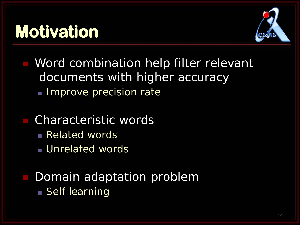

 Word combination help filter relevant documents with higher accuracy

**Improve precision rate** 

#### Characteristic words

- **Related words**
- **Unrelated words**

#### Domain adaptation problem **Self learning**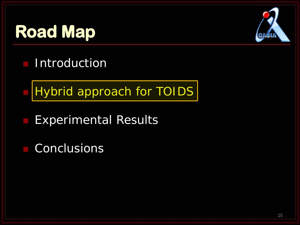# **Road Map**



- **Introduction**
- Hybrid approach for TOIDS
- Experimental Results
- Conclusions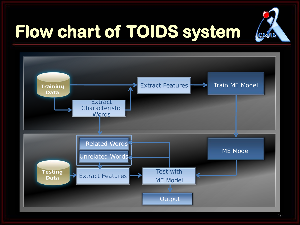

# **Flow chart of TOIDS system**

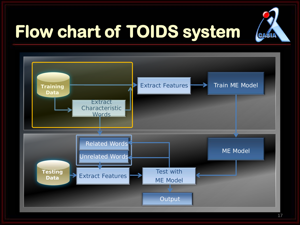

# **Flow chart of TOIDS system**

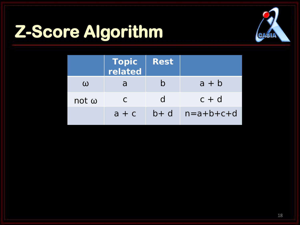# **Z-Score Algorithm**



|              | <b>Topic<br/>related</b> | <b>Rest</b> |             |
|--------------|--------------------------|-------------|-------------|
| $\omega$     |                          |             | $a + b$     |
| $not \omega$ | C                        | d           | $C + d$     |
|              | $a + c$                  | $b + d$     | $n=a+b+c+d$ |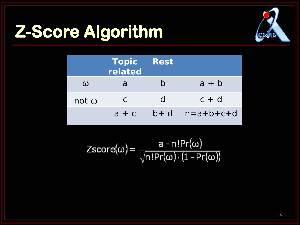# **Z-Score Algorithm**



|              | <b>Topic</b><br>related | <b>Rest</b> |             |
|--------------|-------------------------|-------------|-------------|
| ω            | a                       |             | $a + b$     |
| $not \omega$ | C                       | d           | $C + d$     |
|              | $a + c$                 | $b + d$     | $n=a+b+c+d$ |

$$
Zscore(\omega) = \frac{a - n!Pr(\omega)}{\sqrt{n!Pr(\omega) \cdot (1 - Pr(\omega))}}
$$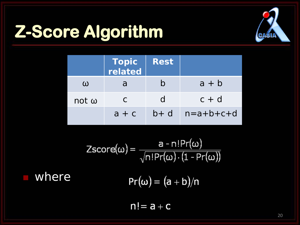# **Z-Score Algorithm**



|              | Topic<br>  related | <b>Rest</b>  |                             |
|--------------|--------------------|--------------|-----------------------------|
| $\omega$     |                    |              | $a + b$                     |
| not $\omega$ | C                  | <sub>d</sub> | $c + d$                     |
|              | $a + c$            |              | $b + d$ $n = a + b + c + d$ |

Zscore(
$$
\omega
$$
) =  $\frac{a - n!Pr(\omega)}{\sqrt{n!Pr(\omega) \cdot (1 - Pr(\omega))}}$   
where  $Pr(\omega) = (a + b)/n$ 

 $n! = a + c$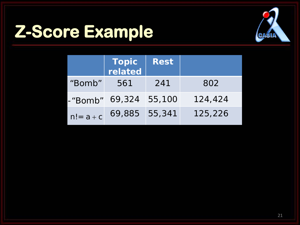# **Z-Score Example**



|              | <b>Topic</b><br>related | <b>Rest</b> |         |
|--------------|-------------------------|-------------|---------|
| "Bomb"       | 561                     | 241         | 802     |
| -"Bomb"      | 69,324 55,100           |             | 124,424 |
| $n! = a + c$ | 69,885 55,341           |             | 125,226 |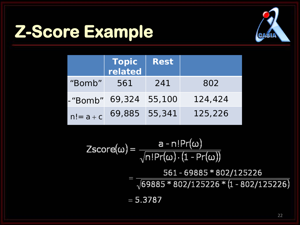# **Z-Score Example**



|              | <b>Topic</b><br>related | <b>Rest</b> |         |
|--------------|-------------------------|-------------|---------|
| "Bomb"       | 561                     | 241         | 802     |
| -"Bomb"      | 69,324                  | 55,100      | 124,424 |
| $n! = a + c$ | 69,885 55,341           |             | 125,226 |

$$
\text{Zscore}(\omega) = \frac{a - n! \Pr(\omega)}{\sqrt{n! \Pr(\omega) \cdot (1 - \Pr(\omega))}}
$$

561-69885 \* 802/125226  $\sqrt{69885 * 802/125226 * (1 - 802/125226)}$ 

 $= 5.3787$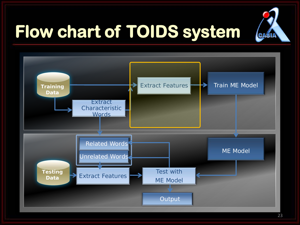

# **Flow chart of TOIDS system**

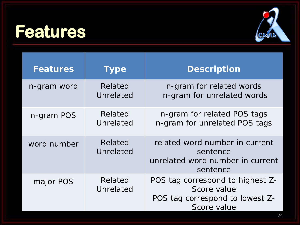#### **Features**



| <b>Features</b> | <b>Type</b>          | <b>Description</b>                                                                                |
|-----------------|----------------------|---------------------------------------------------------------------------------------------------|
| n-gram word     | Related<br>Unrelated | n-gram for related words<br>n-gram for unrelated words                                            |
| n-gram POS      | Related<br>Unrelated | n-gram for related POS tags<br>n-gram for unrelated POS tags                                      |
| word number     | Related<br>Unrelated | related word number in current<br>sentence<br>unrelated word number in current<br>sentence        |
| major POS       | Related<br>Unrelated | POS tag correspond to highest Z-<br>Score value<br>POS tag correspond to lowest Z-<br>Score value |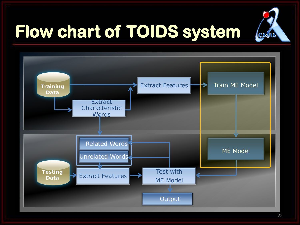

# **Flow chart of TOIDS system**

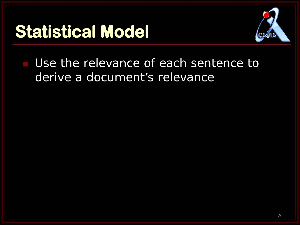

Use the relevance of each sentence to derive a document's relevance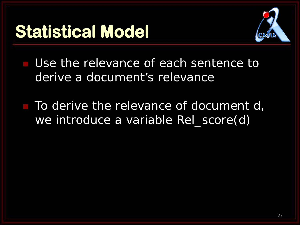

Use the relevance of each sentence to derive a document's relevance

 To derive the relevance of document d, we introduce a variable Rel\_score(d)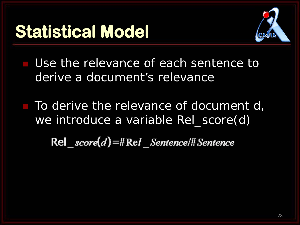

Use the relevance of each sentence to derive a document's relevance

 To derive the relevance of document d, we introduce a variable Rel\_score(d)

 $\text{Rel } score(d) = \#Rel$  Sentence/# Sentence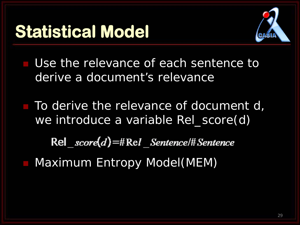

 Use the relevance of each sentence to derive a document's relevance

 $\blacksquare$  To derive the relevance of document d, we introduce a variable Rel\_score(d)

 $\text{Rel } score(d) = \# Rel$  Sentence/# Sentence

Maximum Entropy Model(MEM)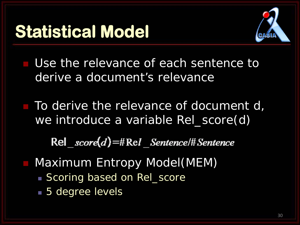

Use the relevance of each sentence to derive a document's relevance

 To derive the relevance of document d, we introduce a variable Rel\_score(d)

 $\text{Rel } score(d) = \# Rel$  Sentence/# Sentence

- Maximum Entropy Model(MEM)
	- Scoring based on Rel\_score
	- **5** degree levels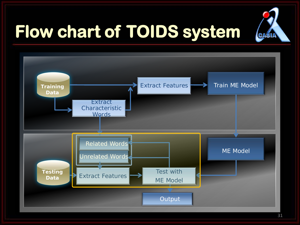

# **Flow chart of TOIDS system**

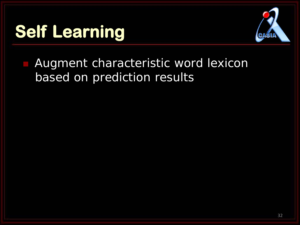# **Self Learning**



**Augment characteristic word lexicon** based on prediction results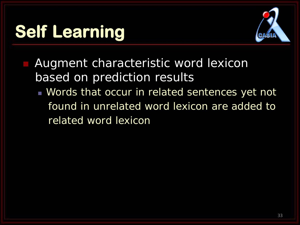# **Self Learning**



- Augment characteristic word lexicon based on prediction results
	- **Words that occur in related sentences yet not** found in unrelated word lexicon are added to related word lexicon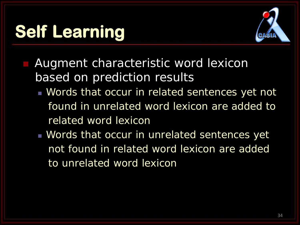# **Self Learning**



- Augment characteristic word lexicon based on prediction results
	- **Words that occur in related sentences yet not** found in unrelated word lexicon are added to related word lexicon
	- **Words that occur in unrelated sentences yet** not found in related word lexicon are added to unrelated word lexicon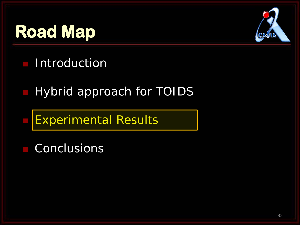# **Road Map**



- **Introduction**
- Hybrid approach for TOIDS
- Experimental Results
- Conclusions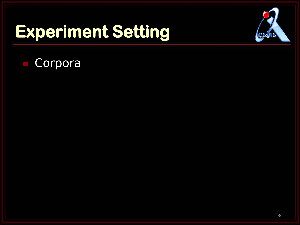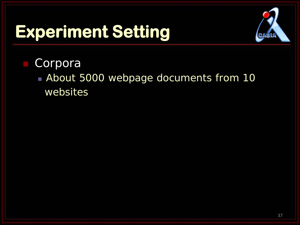

- Corpora
	- **About 5000 webpage documents from 10** websites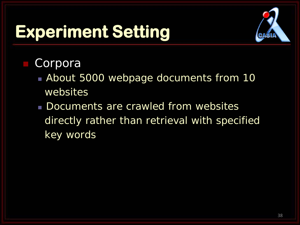

- About 5000 webpage documents from 10 websites
- Documents are crawled from websites directly rather than retrieval with specified key words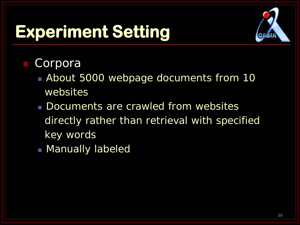

- About 5000 webpage documents from 10 websites
- Documents are crawled from websites directly rather than retrieval with specified key words
- **Manually labeled**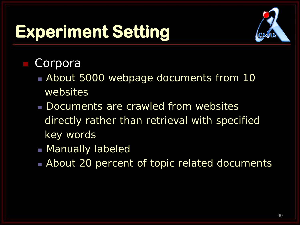

- About 5000 webpage documents from 10 websites
- Documents are crawled from websites directly rather than retrieval with specified key words
- **Manually labeled**
- **About 20 percent of topic related documents**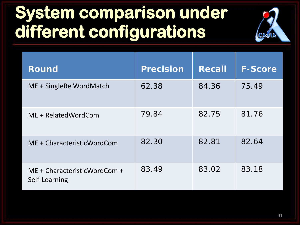# **System comparison under different configurations**

| <b>Round</b>                                  | <b>Precision</b> | <b>Recall</b> | <b>F-Score</b> |
|-----------------------------------------------|------------------|---------------|----------------|
| ME + SingleRelWordMatch                       | 62.38            | 84.36         | 75.49          |
| ME + RelatedWordCom                           | 79.84            | 82.75         | 81.76          |
| ME + CharacteristicWordCom                    | 82.30            | 82.81         | 82.64          |
| ME + CharacteristicWordCom +<br>Self-Learning | 83.49            | 83.02         | 83.18          |

CAS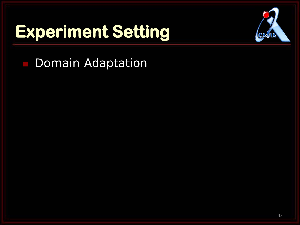

**Domain Adaptation**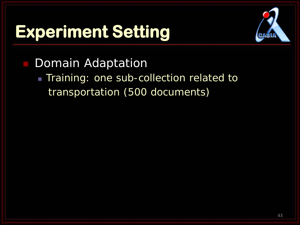

Domain Adaptation

**Training: one sub-collection related to** transportation (500 documents)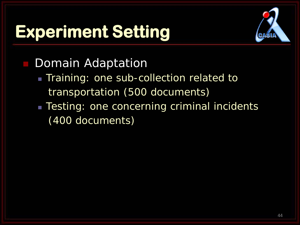

#### Domain Adaptation

- **Training: one sub-collection related to** transportation (500 documents)
- **Testing: one concerning criminal incidents** (400 documents)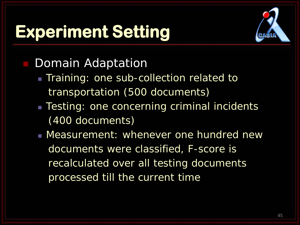

#### Domain Adaptation

- **Training: one sub-collection related to** transportation (500 documents)
- **Testing: one concerning criminal incidents** (400 documents)
- Measurement: whenever one hundred new documents were classified, F-score is recalculated over all testing documents processed till the current time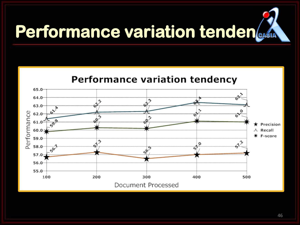# **Performance variation tenden**



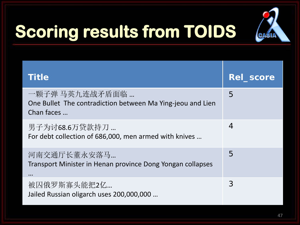

# **Scoring results from TOIDS**

| <b>Title</b>                                                                               | <b>Rel_score</b> |
|--------------------------------------------------------------------------------------------|------------------|
| 一颗子弹 马英九连战矛盾面临<br>One Bullet The contradiction between Ma Ying-jeou and Lien<br>Chan faces | 5                |
| 男子为讨68.6万贷款持刀…<br>For debt collection of 686,000, men armed with knives                    | 4                |
| 河南交通厅长董永安落马<br>Transport Minister in Henan province Dong Yongan collapses<br>$\cdots$      | 5                |
| 被囚俄罗斯寡头能把2亿<br>Jailed Russian oligarch uses 200,000,000                                    | 3                |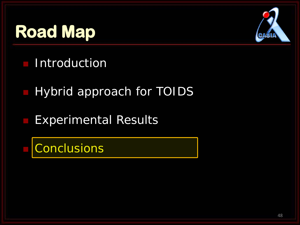# **Road Map**



- **Introduction**
- Hybrid approach for TOIDS
- Experimental Results
- **Conclusions**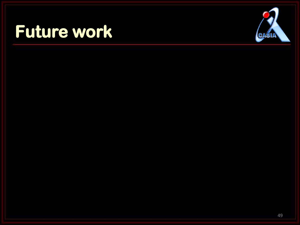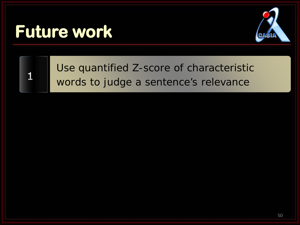

 $\vert$ 1

#### Use quantified Z-score of characteristic words to judge a sentence's relevance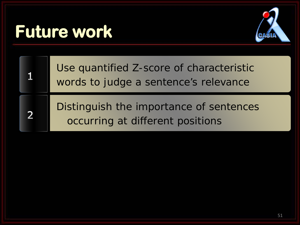$\overline{2}$ 



Use quantified Z-score of characteristic words to judge a sentence's relevance

Distinguish the importance of sentences occurring at different positions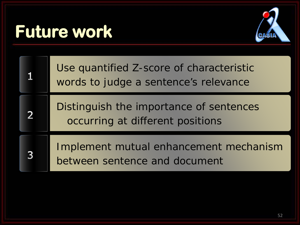

Use quantified Z-score of characteristic words to judge a sentence's relevance Distinguish the importance of sentences  $\overline{2}$ occurring at different positions Implement mutual enhancement mechanism  $\overline{3}$ between sentence and document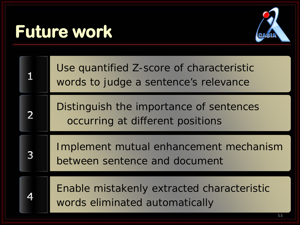

|   | Use quantified Z-score of characteristic<br>words to judge a sentence's relevance |
|---|-----------------------------------------------------------------------------------|
|   | Distinguish the importance of sentences<br>occurring at different positions       |
|   |                                                                                   |
| 3 | Implement mutual enhancement mechanism<br>between sentence and document           |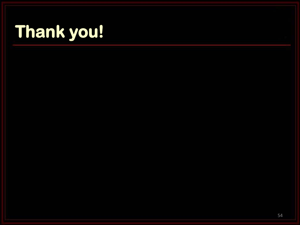# **Thank you!**